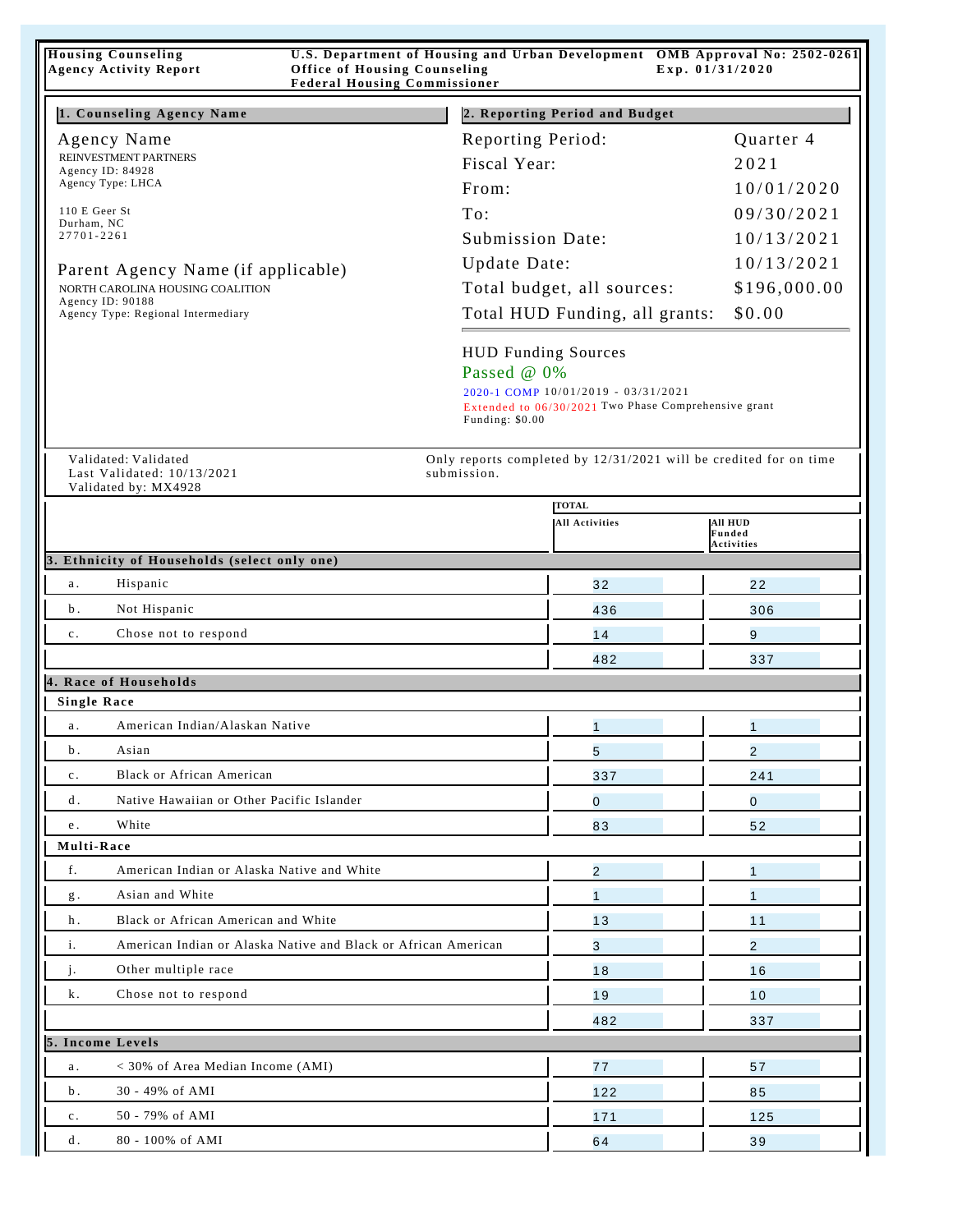| U.S. Department of Housing and Urban Development OMB Approval No: 2502-0261<br><b>Housing Counseling</b><br><b>Agency Activity Report</b><br><b>Office of Housing Counseling</b><br>Exp. $01/31/2020$<br><b>Federal Housing Commissioner</b> |                                                                                                                                  |                   |                                                                                             |                            |  |  |
|----------------------------------------------------------------------------------------------------------------------------------------------------------------------------------------------------------------------------------------------|----------------------------------------------------------------------------------------------------------------------------------|-------------------|---------------------------------------------------------------------------------------------|----------------------------|--|--|
| 2. Reporting Period and Budget<br>1. Counseling Agency Name                                                                                                                                                                                  |                                                                                                                                  |                   |                                                                                             |                            |  |  |
|                                                                                                                                                                                                                                              | Agency Name                                                                                                                      | Reporting Period: |                                                                                             | Quarter 4                  |  |  |
| REINVESTMENT PARTNERS                                                                                                                                                                                                                        |                                                                                                                                  | Fiscal Year:      |                                                                                             | 2021                       |  |  |
| Agency ID: 84928<br>Agency Type: LHCA                                                                                                                                                                                                        |                                                                                                                                  | From:             |                                                                                             | 10/01/2020                 |  |  |
| 110 E Geer St                                                                                                                                                                                                                                |                                                                                                                                  | To:               |                                                                                             | 09/30/2021                 |  |  |
|                                                                                                                                                                                                                                              | Durham, NC<br>27701-2261                                                                                                         |                   | Submission Date:                                                                            | 10/13/2021                 |  |  |
|                                                                                                                                                                                                                                              | Parent Agency Name (if applicable)<br>NORTH CAROLINA HOUSING COALITION<br>Agency ID: 90188<br>Agency Type: Regional Intermediary |                   | Update Date:                                                                                |                            |  |  |
|                                                                                                                                                                                                                                              |                                                                                                                                  |                   | Total budget, all sources:                                                                  | 10/13/2021<br>\$196,000.00 |  |  |
|                                                                                                                                                                                                                                              |                                                                                                                                  |                   |                                                                                             | \$0.00                     |  |  |
|                                                                                                                                                                                                                                              |                                                                                                                                  |                   | Total HUD Funding, all grants:                                                              |                            |  |  |
|                                                                                                                                                                                                                                              |                                                                                                                                  |                   | <b>HUD Funding Sources</b>                                                                  |                            |  |  |
|                                                                                                                                                                                                                                              |                                                                                                                                  |                   | Passed @ 0%                                                                                 |                            |  |  |
|                                                                                                                                                                                                                                              |                                                                                                                                  |                   | 2020-1 COMP 10/01/2019 - 03/31/2021<br>Extended to 06/30/2021 Two Phase Comprehensive grant |                            |  |  |
|                                                                                                                                                                                                                                              |                                                                                                                                  | Funding: \$0.00   |                                                                                             |                            |  |  |
|                                                                                                                                                                                                                                              | Validated: Validated                                                                                                             |                   | Only reports completed by 12/31/2021 will be credited for on time                           |                            |  |  |
|                                                                                                                                                                                                                                              | Last Validated: 10/13/2021<br>Validated by: MX4928                                                                               | submission.       |                                                                                             |                            |  |  |
|                                                                                                                                                                                                                                              |                                                                                                                                  |                   | <b>TOTAL</b><br><b>All Activities</b>                                                       | All HUD                    |  |  |
|                                                                                                                                                                                                                                              |                                                                                                                                  |                   |                                                                                             | Funded<br>Activities       |  |  |
|                                                                                                                                                                                                                                              | 3. Ethnicity of Households (select only one)                                                                                     |                   |                                                                                             |                            |  |  |
| a.                                                                                                                                                                                                                                           | Hispanic                                                                                                                         |                   | 32                                                                                          | 22                         |  |  |
| $b$ .                                                                                                                                                                                                                                        | Not Hispanic                                                                                                                     |                   | 436                                                                                         | 306                        |  |  |
| $c$ .                                                                                                                                                                                                                                        | Chose not to respond                                                                                                             |                   | 14                                                                                          | 9                          |  |  |
|                                                                                                                                                                                                                                              |                                                                                                                                  |                   | 482                                                                                         | 337                        |  |  |
|                                                                                                                                                                                                                                              | 4. Race of Households                                                                                                            |                   |                                                                                             |                            |  |  |
| <b>Single Race</b>                                                                                                                                                                                                                           |                                                                                                                                  |                   |                                                                                             |                            |  |  |
| a.                                                                                                                                                                                                                                           | American Indian/Alaskan Native                                                                                                   |                   | 1                                                                                           | 1                          |  |  |
| $b$ .                                                                                                                                                                                                                                        | Asian                                                                                                                            |                   | 5                                                                                           | $\overline{c}$             |  |  |
| c.                                                                                                                                                                                                                                           | Black or African American                                                                                                        |                   | 337                                                                                         | 241                        |  |  |
| d.                                                                                                                                                                                                                                           | Native Hawaiian or Other Pacific Islander                                                                                        |                   | $\overline{0}$                                                                              | $\overline{0}$             |  |  |
| e.                                                                                                                                                                                                                                           | White                                                                                                                            |                   | 83                                                                                          | 52                         |  |  |
| Multi-Race                                                                                                                                                                                                                                   |                                                                                                                                  |                   |                                                                                             |                            |  |  |
| f.                                                                                                                                                                                                                                           | American Indian or Alaska Native and White                                                                                       |                   | $\overline{2}$                                                                              | 1                          |  |  |
| g.                                                                                                                                                                                                                                           | Asian and White                                                                                                                  |                   | $\mathbf{1}$                                                                                | $\overline{1}$             |  |  |
| h.                                                                                                                                                                                                                                           | Black or African American and White                                                                                              |                   | 13                                                                                          | 11                         |  |  |
| i.                                                                                                                                                                                                                                           | American Indian or Alaska Native and Black or African American                                                                   |                   | 3                                                                                           | $\overline{2}$             |  |  |
| j.                                                                                                                                                                                                                                           | Other multiple race                                                                                                              |                   | 18                                                                                          | 16                         |  |  |
| k.                                                                                                                                                                                                                                           | Chose not to respond                                                                                                             |                   | 19                                                                                          | 10                         |  |  |
|                                                                                                                                                                                                                                              |                                                                                                                                  |                   | 482                                                                                         | 337                        |  |  |
| 5. Income Levels                                                                                                                                                                                                                             |                                                                                                                                  |                   |                                                                                             |                            |  |  |
| a.                                                                                                                                                                                                                                           | $<$ 30% of Area Median Income (AMI)                                                                                              |                   | 77                                                                                          | 57                         |  |  |
| b.                                                                                                                                                                                                                                           | 30 - 49% of AMI                                                                                                                  |                   | 122                                                                                         | 85                         |  |  |
| c.                                                                                                                                                                                                                                           | 50 - 79% of AMI                                                                                                                  |                   | 171                                                                                         | 125                        |  |  |
| $d$ .                                                                                                                                                                                                                                        | 80 - 100% of AMI                                                                                                                 |                   | 64                                                                                          | 39                         |  |  |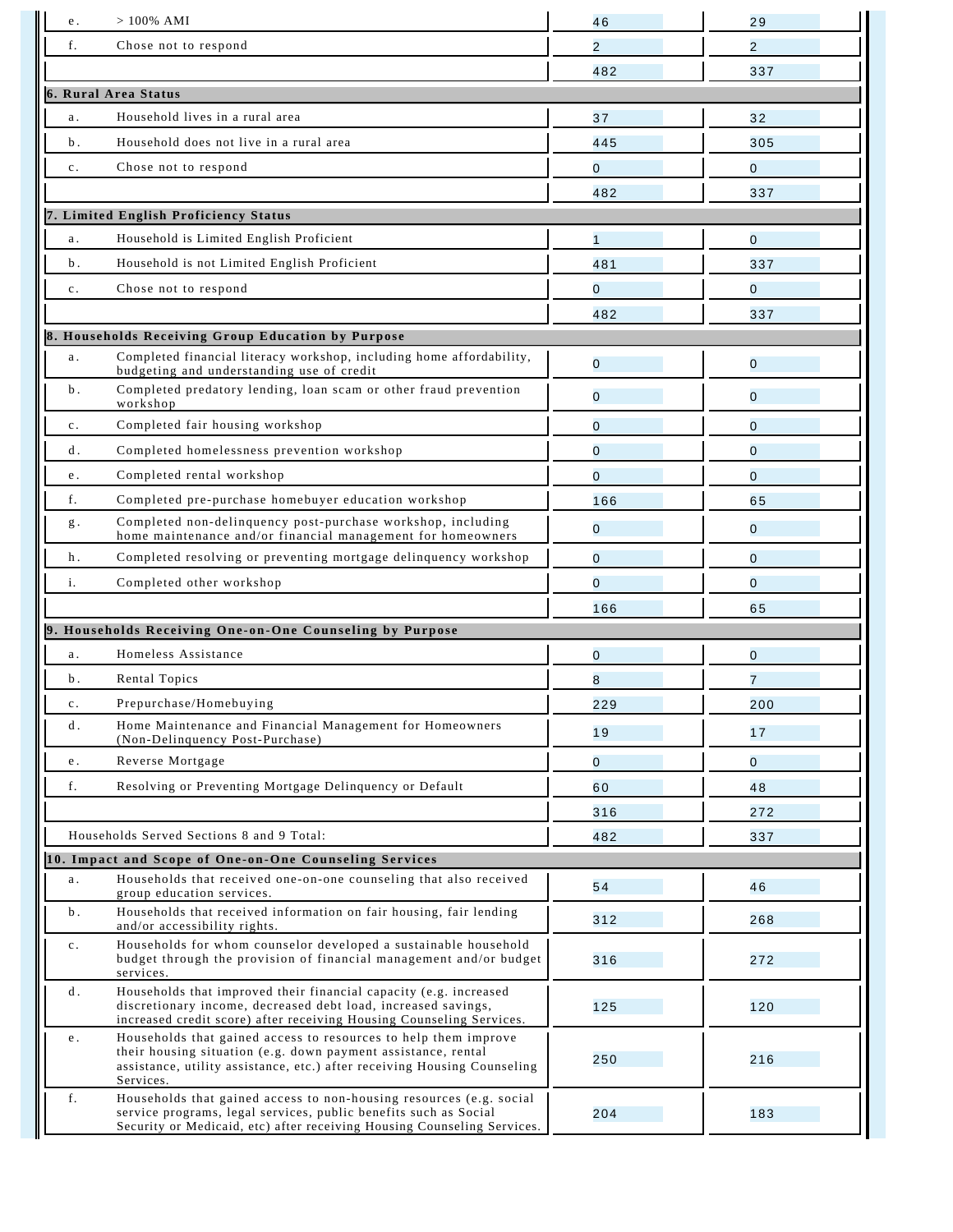| e.                   | $>100\%$ AMI                                                                                                                                                                                                              | 46             | 29             |  |  |  |
|----------------------|---------------------------------------------------------------------------------------------------------------------------------------------------------------------------------------------------------------------------|----------------|----------------|--|--|--|
| f.                   | Chose not to respond                                                                                                                                                                                                      | $\overline{2}$ | $\overline{2}$ |  |  |  |
|                      |                                                                                                                                                                                                                           | 482            | 337            |  |  |  |
| 6. Rural Area Status |                                                                                                                                                                                                                           |                |                |  |  |  |
| a.                   | Household lives in a rural area                                                                                                                                                                                           | 37             | 32             |  |  |  |
| $b$ .                | Household does not live in a rural area                                                                                                                                                                                   | 445            | 305            |  |  |  |
| c.                   | Chose not to respond                                                                                                                                                                                                      | 0              | 0              |  |  |  |
|                      |                                                                                                                                                                                                                           | 482            | 337            |  |  |  |
|                      | 7. Limited English Proficiency Status                                                                                                                                                                                     |                |                |  |  |  |
| a.                   | Household is Limited English Proficient                                                                                                                                                                                   | $\overline{1}$ | $\overline{0}$ |  |  |  |
| $b$ .                | Household is not Limited English Proficient                                                                                                                                                                               | 481            | 337            |  |  |  |
| $c$ .                | Chose not to respond                                                                                                                                                                                                      | 0              | 0              |  |  |  |
|                      |                                                                                                                                                                                                                           | 482            | 337            |  |  |  |
|                      | 8. Households Receiving Group Education by Purpose                                                                                                                                                                        |                |                |  |  |  |
| a.                   | Completed financial literacy workshop, including home affordability,<br>budgeting and understanding use of credit                                                                                                         | $\overline{0}$ | 0              |  |  |  |
| b.                   | Completed predatory lending, loan scam or other fraud prevention<br>workshop                                                                                                                                              | $\overline{0}$ | $\overline{0}$ |  |  |  |
| c.                   | Completed fair housing workshop                                                                                                                                                                                           | $\overline{0}$ | $\overline{0}$ |  |  |  |
| d.                   | Completed homelessness prevention workshop                                                                                                                                                                                | 0              | $\overline{0}$ |  |  |  |
| e.                   | Completed rental workshop                                                                                                                                                                                                 | 0              | $\overline{0}$ |  |  |  |
| f.                   | Completed pre-purchase homebuyer education workshop                                                                                                                                                                       | 166            | 65             |  |  |  |
| $g$ .                | Completed non-delinquency post-purchase workshop, including<br>home maintenance and/or financial management for homeowners                                                                                                | 0              | $\overline{0}$ |  |  |  |
| h.                   | Completed resolving or preventing mortgage delinquency workshop                                                                                                                                                           | $\overline{0}$ | $\overline{0}$ |  |  |  |
| i.                   | Completed other workshop                                                                                                                                                                                                  | $\overline{0}$ | $\overline{0}$ |  |  |  |
|                      |                                                                                                                                                                                                                           | 166            | 65             |  |  |  |
|                      | 9. Households Receiving One-on-One Counseling by Purpose                                                                                                                                                                  |                |                |  |  |  |
| a.                   | Homeless Assistance                                                                                                                                                                                                       | 0              | 0              |  |  |  |
| b.                   | Rental Topics                                                                                                                                                                                                             | 8              | $\overline{7}$ |  |  |  |
| с.                   | Prepurchase/Homebuying                                                                                                                                                                                                    | 229            | 200            |  |  |  |
| d.                   | Home Maintenance and Financial Management for Homeowners<br>(Non-Delinquency Post-Purchase)                                                                                                                               | 19             | 17             |  |  |  |
| e.                   | Reverse Mortgage                                                                                                                                                                                                          | 0              | 0              |  |  |  |
| f.                   | Resolving or Preventing Mortgage Delinquency or Default                                                                                                                                                                   | 60             | 48             |  |  |  |
|                      |                                                                                                                                                                                                                           | 316            | 272            |  |  |  |
|                      | Households Served Sections 8 and 9 Total:                                                                                                                                                                                 | 482            | 337            |  |  |  |
|                      | 10. Impact and Scope of One-on-One Counseling Services                                                                                                                                                                    |                |                |  |  |  |
| a.                   | Households that received one-on-one counseling that also received<br>group education services.                                                                                                                            | 54             | 46             |  |  |  |
| b.                   | Households that received information on fair housing, fair lending<br>and/or accessibility rights.                                                                                                                        | 312            | 268            |  |  |  |
| $\mathbf c$ .        | Households for whom counselor developed a sustainable household<br>budget through the provision of financial management and/or budget<br>services.                                                                        | 316            | 272            |  |  |  |
| d.                   | Households that improved their financial capacity (e.g. increased<br>discretionary income, decreased debt load, increased savings,<br>increased credit score) after receiving Housing Counseling Services.                | 125            | 120            |  |  |  |
| e.                   | Households that gained access to resources to help them improve<br>their housing situation (e.g. down payment assistance, rental<br>assistance, utility assistance, etc.) after receiving Housing Counseling<br>Services. | 250            | 216            |  |  |  |
| f.                   | Households that gained access to non-housing resources (e.g. social<br>service programs, legal services, public benefits such as Social<br>Security or Medicaid, etc) after receiving Housing Counseling Services.        | 204            | 183            |  |  |  |